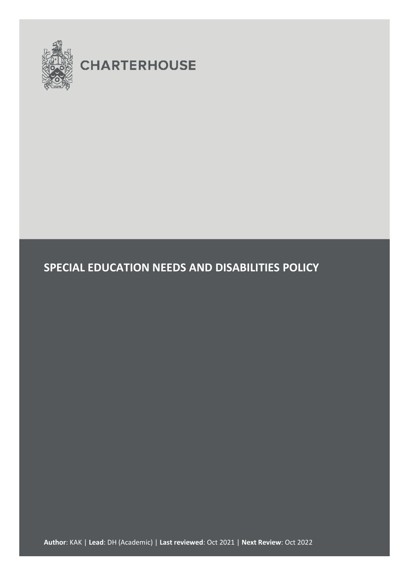

# **CHARTERHOUSE**

## **SPECIAL EDUCATION NEEDS AND DISABILITIES POLICY**

**Author**: KAK | **Lead**: DH (Academic) | **Last reviewed**: Oct 2021 | **Next Review**: Oct 2022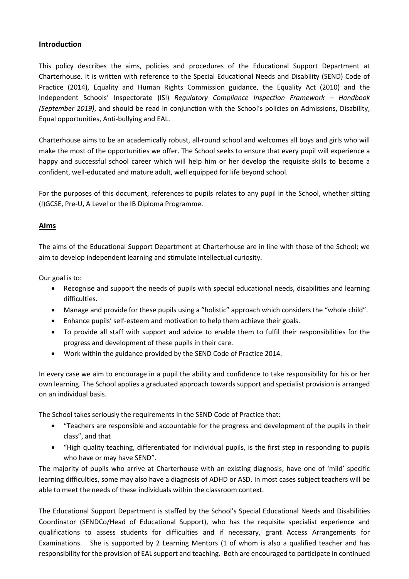#### **Introduction**

This policy describes the aims, policies and procedures of the Educational Support Department at Charterhouse. It is written with reference to the Special Educational Needs and Disability (SEND) Code of Practice (2014), Equality and Human Rights Commission guidance, the Equality Act (2010) and the Independent Schools' Inspectorate (ISI) *Regulatory Compliance Inspection Framework – Handbook (September 2019)*, and should be read in conjunction with the School's policies on Admissions, Disability, Equal opportunities, Anti-bullying and EAL.

Charterhouse aims to be an academically robust, all-round school and welcomes all boys and girls who will make the most of the opportunities we offer. The School seeks to ensure that every pupil will experience a happy and successful school career which will help him or her develop the requisite skills to become a confident, well-educated and mature adult, well equipped for life beyond school.

For the purposes of this document, references to pupils relates to any pupil in the School, whether sitting (I)GCSE, Pre-U, A Level or the IB Diploma Programme.

#### **Aims**

The aims of the Educational Support Department at Charterhouse are in line with those of the School; we aim to develop independent learning and stimulate intellectual curiosity.

Our goal is to:

- Recognise and support the needs of pupils with special educational needs, disabilities and learning difficulties.
- Manage and provide for these pupils using a "holistic" approach which considers the "whole child".
- Enhance pupils' self-esteem and motivation to help them achieve their goals.
- To provide all staff with support and advice to enable them to fulfil their responsibilities for the progress and development of these pupils in their care.
- Work within the guidance provided by the SEND Code of Practice 2014.

In every case we aim to encourage in a pupil the ability and confidence to take responsibility for his or her own learning. The School applies a graduated approach towards support and specialist provision is arranged on an individual basis.

The School takes seriously the requirements in the SEND Code of Practice that:

- "Teachers are responsible and accountable for the progress and development of the pupils in their class", and that
- "High quality teaching, differentiated for individual pupils, is the first step in responding to pupils who have or may have SEND".

The majority of pupils who arrive at Charterhouse with an existing diagnosis, have one of 'mild' specific learning difficulties, some may also have a diagnosis of ADHD or ASD. In most cases subject teachers will be able to meet the needs of these individuals within the classroom context.

The Educational Support Department is staffed by the School's Special Educational Needs and Disabilities Coordinator (SENDCo/Head of Educational Support), who has the requisite specialist experience and qualifications to assess students for difficulties and if necessary, grant Access Arrangements for Examinations. She is supported by 2 Learning Mentors (1 of whom is also a qualified teacher and has responsibility for the provision of EAL support and teaching. Both are encouraged to participate in continued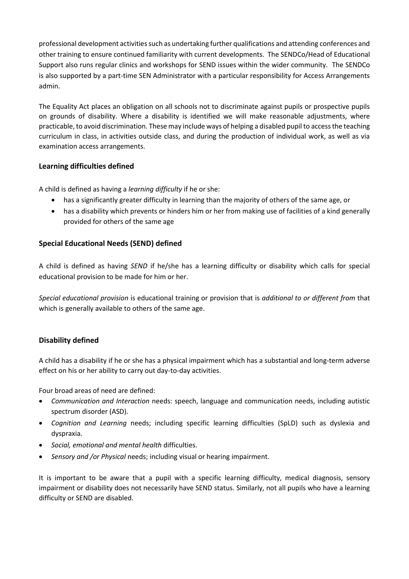professional development activities such as undertaking further qualifications and attending conferences and other training to ensure continued familiarity with current developments. The SENDCo/Head of Educational Support also runs regular clinics and workshops for SEND issues within the wider community. The SENDCo is also supported by a part-time SEN Administrator with a particular responsibility for Access Arrangements admin.

The Equality Act places an obligation on all schools not to discriminate against pupils or prospective pupils on grounds of disability. Where a disability is identified we will make reasonable adjustments, where practicable, to avoid discrimination. These may include ways of helping a disabled pupil to access the teaching curriculum in class, in activities outside class, and during the production of individual work, as well as via examination access arrangements.

## **Learning difficulties defined**

A child is defined as having a *learning difficulty* if he or she:

- has a significantly greater difficulty in learning than the majority of others of the same age, or
- has a disability which prevents or hinders him or her from making use of facilities of a kind generally provided for others of the same age

#### **Special Educational Needs (SEND) defined**

A child is defined as having *SEND* if he/she has a learning difficulty or disability which calls for special educational provision to be made for him or her.

*Special educational provision* is educational training or provision that is *additional to or different from* that which is generally available to others of the same age.

## **Disability defined**

A child has a disability if he or she has a physical impairment which has a substantial and long-term adverse effect on his or her ability to carry out day-to-day activities.

Four broad areas of need are defined:

- *Communication and Interaction* needs: speech, language and communication needs, including autistic spectrum disorder (ASD).
- *Cognition and Learning* needs; including specific learning difficulties (SpLD) such as dyslexia and dyspraxia.
- *Social, emotional and mental health* difficulties.
- *Sensory and /or Physical* needs; including visual or hearing impairment.

It is important to be aware that a pupil with a specific learning difficulty, medical diagnosis, sensory impairment or disability does not necessarily have SEND status. Similarly, not all pupils who have a learning difficulty or SEND are disabled.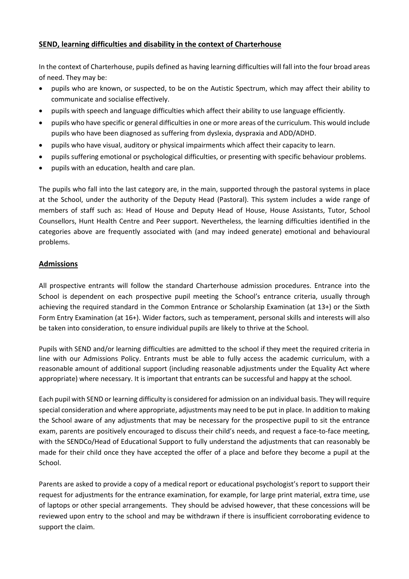#### **SEND, learning difficulties and disability in the context of Charterhouse**

In the context of Charterhouse, pupils defined as having learning difficulties will fall into the four broad areas of need. They may be:

- pupils who are known, or suspected, to be on the Autistic Spectrum, which may affect their ability to communicate and socialise effectively.
- pupils with speech and language difficulties which affect their ability to use language efficiently.
- pupils who have specific or general difficulties in one or more areas of the curriculum. This would include pupils who have been diagnosed as suffering from dyslexia, dyspraxia and ADD/ADHD.
- pupils who have visual, auditory or physical impairments which affect their capacity to learn.
- pupils suffering emotional or psychological difficulties, or presenting with specific behaviour problems.
- pupils with an education, health and care plan.

The pupils who fall into the last category are, in the main, supported through the pastoral systems in place at the School, under the authority of the Deputy Head (Pastoral). This system includes a wide range of members of staff such as: Head of House and Deputy Head of House, House Assistants, Tutor, School Counsellors, Hunt Health Centre and Peer support. Nevertheless, the learning difficulties identified in the categories above are frequently associated with (and may indeed generate) emotional and behavioural problems.

#### **Admissions**

All prospective entrants will follow the standard Charterhouse admission procedures. Entrance into the School is dependent on each prospective pupil meeting the School's entrance criteria, usually through achieving the required standard in the Common Entrance or Scholarship Examination (at 13+) or the Sixth Form Entry Examination (at 16+). Wider factors, such as temperament, personal skills and interests will also be taken into consideration, to ensure individual pupils are likely to thrive at the School.

Pupils with SEND and/or learning difficulties are admitted to the school if they meet the required criteria in line with our Admissions Policy. Entrants must be able to fully access the academic curriculum, with a reasonable amount of additional support (including reasonable adjustments under the Equality Act where appropriate) where necessary. It is important that entrants can be successful and happy at the school.

Each pupil with SEND or learning difficulty is considered for admission on an individual basis. They will require special consideration and where appropriate, adjustments may need to be put in place. In addition to making the School aware of any adjustments that may be necessary for the prospective pupil to sit the entrance exam, parents are positively encouraged to discuss their child's needs, and request a face-to-face meeting, with the SENDCo/Head of Educational Support to fully understand the adjustments that can reasonably be made for their child once they have accepted the offer of a place and before they become a pupil at the School.

Parents are asked to provide a copy of a medical report or educational psychologist's report to support their request for adjustments for the entrance examination, for example, for large print material, extra time, use of laptops or other special arrangements. They should be advised however, that these concessions will be reviewed upon entry to the school and may be withdrawn if there is insufficient corroborating evidence to support the claim.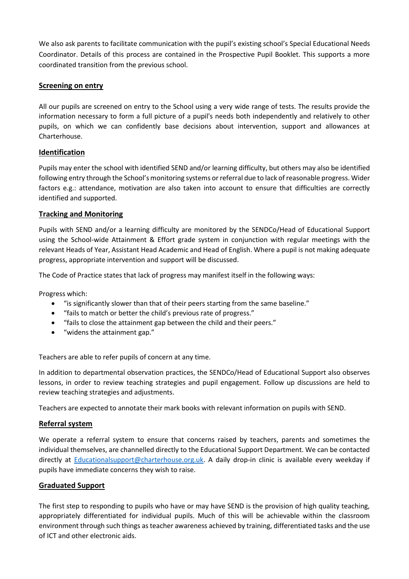We also ask parents to facilitate communication with the pupil's existing school's Special Educational Needs Coordinator. Details of this process are contained in the Prospective Pupil Booklet. This supports a more coordinated transition from the previous school.

#### **Screening on entry**

All our pupils are screened on entry to the School using a very wide range of tests. The results provide the information necessary to form a full picture of a pupil's needs both independently and relatively to other pupils, on which we can confidently base decisions about intervention, support and allowances at Charterhouse.

#### **Identification**

Pupils may enter the school with identified SEND and/or learning difficulty, but others may also be identified following entry through the School's monitoring systems or referral due to lack of reasonable progress. Wider factors e.g.: attendance, motivation are also taken into account to ensure that difficulties are correctly identified and supported.

#### **Tracking and Monitoring**

Pupils with SEND and/or a learning difficulty are monitored by the SENDCo/Head of Educational Support using the School-wide Attainment & Effort grade system in conjunction with regular meetings with the relevant Heads of Year, Assistant Head Academic and Head of English. Where a pupil is not making adequate progress, appropriate intervention and support will be discussed.

The Code of Practice states that lack of progress may manifest itself in the following ways:

Progress which:

- "is significantly slower than that of their peers starting from the same baseline."
- "fails to match or better the child's previous rate of progress."
- "fails to close the attainment gap between the child and their peers."
- "widens the attainment gap."

Teachers are able to refer pupils of concern at any time.

In addition to departmental observation practices, the SENDCo/Head of Educational Support also observes lessons, in order to review teaching strategies and pupil engagement. Follow up discussions are held to review teaching strategies and adjustments.

Teachers are expected to annotate their mark books with relevant information on pupils with SEND.

#### **Referral system**

We operate a referral system to ensure that concerns raised by teachers, parents and sometimes the individual themselves, are channelled directly to the Educational Support Department. We can be contacted directly at [Educationalsupport@charterhouse.org.uk.](mailto:Eductionalsupport@charterhouse.org.uk) A daily drop-in clinic is available every weekday if pupils have immediate concerns they wish to raise.

#### **Graduated Support**

The first step to responding to pupils who have or may have SEND is the provision of high quality teaching, appropriately differentiated for individual pupils. Much of this will be achievable within the classroom environment through such things as teacher awareness achieved by training, differentiated tasks and the use of ICT and other electronic aids.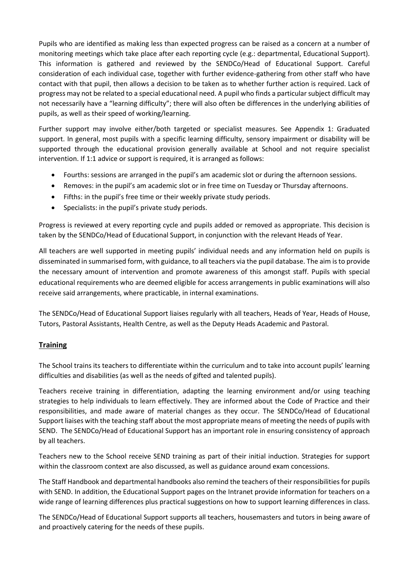Pupils who are identified as making less than expected progress can be raised as a concern at a number of monitoring meetings which take place after each reporting cycle (e.g.: departmental, Educational Support). This information is gathered and reviewed by the SENDCo/Head of Educational Support. Careful consideration of each individual case, together with further evidence-gathering from other staff who have contact with that pupil, then allows a decision to be taken as to whether further action is required. Lack of progress may not be related to a special educational need. A pupil who finds a particular subject difficult may not necessarily have a "learning difficulty"; there will also often be differences in the underlying abilities of pupils, as well as their speed of working/learning.

Further support may involve either/both targeted or specialist measures. See Appendix 1: Graduated support. In general, most pupils with a specific learning difficulty, sensory impairment or disability will be supported through the educational provision generally available at School and not require specialist intervention. If 1:1 advice or support is required, it is arranged as follows:

- Fourths: sessions are arranged in the pupil's am academic slot or during the afternoon sessions.
- Removes: in the pupil's am academic slot or in free time on Tuesday or Thursday afternoons.
- Fifths: in the pupil's free time or their weekly private study periods.
- Specialists: in the pupil's private study periods.

Progress is reviewed at every reporting cycle and pupils added or removed as appropriate. This decision is taken by the SENDCo/Head of Educational Support, in conjunction with the relevant Heads of Year.

All teachers are well supported in meeting pupils' individual needs and any information held on pupils is disseminated in summarised form, with guidance, to all teachers via the pupil database. The aim is to provide the necessary amount of intervention and promote awareness of this amongst staff. Pupils with special educational requirements who are deemed eligible for access arrangements in public examinations will also receive said arrangements, where practicable, in internal examinations.

The SENDCo/Head of Educational Support liaises regularly with all teachers, Heads of Year, Heads of House, Tutors, Pastoral Assistants, Health Centre, as well as the Deputy Heads Academic and Pastoral.

#### **Training**

The School trains its teachers to differentiate within the curriculum and to take into account pupils' learning difficulties and disabilities (as well as the needs of gifted and talented pupils).

Teachers receive training in differentiation, adapting the learning environment and/or using teaching strategies to help individuals to learn effectively. They are informed about the Code of Practice and their responsibilities, and made aware of material changes as they occur. The SENDCo/Head of Educational Support liaises with the teaching staff about the most appropriate means of meeting the needs of pupils with SEND. The SENDCo/Head of Educational Support has an important role in ensuring consistency of approach by all teachers.

Teachers new to the School receive SEND training as part of their initial induction. Strategies for support within the classroom context are also discussed, as well as guidance around exam concessions.

The Staff Handbook and departmental handbooks also remind the teachers of their responsibilities for pupils with SEND. In addition, the Educational Support pages on the Intranet provide information for teachers on a wide range of learning differences plus practical suggestions on how to support learning differences in class.

The SENDCo/Head of Educational Support supports all teachers, housemasters and tutors in being aware of and proactively catering for the needs of these pupils.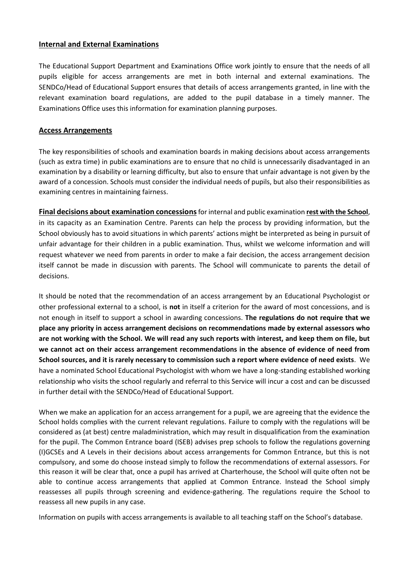#### **Internal and External Examinations**

The Educational Support Department and Examinations Office work jointly to ensure that the needs of all pupils eligible for access arrangements are met in both internal and external examinations. The SENDCo/Head of Educational Support ensures that details of access arrangements granted, in line with the relevant examination board regulations, are added to the pupil database in a timely manner. The Examinations Office uses this information for examination planning purposes.

#### **Access Arrangements**

The key responsibilities of schools and examination boards in making decisions about access arrangements (such as extra time) in public examinations are to ensure that no child is unnecessarily disadvantaged in an examination by a disability or learning difficulty, but also to ensure that unfair advantage is not given by the award of a concession. Schools must consider the individual needs of pupils, but also their responsibilities as examining centres in maintaining fairness.

**Final decisions about examination concessions**for internal and public examination **rest with the School**, in its capacity as an Examination Centre. Parents can help the process by providing information, but the School obviously has to avoid situations in which parents' actions might be interpreted as being in pursuit of unfair advantage for their children in a public examination. Thus, whilst we welcome information and will request whatever we need from parents in order to make a fair decision, the access arrangement decision itself cannot be made in discussion with parents. The School will communicate to parents the detail of decisions.

It should be noted that the recommendation of an access arrangement by an Educational Psychologist or other professional external to a school, is **not** in itself a criterion for the award of most concessions, and is not enough in itself to support a school in awarding concessions. **The regulations do not require that we place any priority in access arrangement decisions on recommendations made by external assessors who are not working with the School. We will read any such reports with interest, and keep them on file, but we cannot act on their access arrangement recommendations in the absence of evidence of need from School sources, and it is rarely necessary to commission such a report where evidence of need exists**. We have a nominated School Educational Psychologist with whom we have a long-standing established working relationship who visits the school regularly and referral to this Service will incur a cost and can be discussed in further detail with the SENDCo/Head of Educational Support.

When we make an application for an access arrangement for a pupil, we are agreeing that the evidence the School holds complies with the current relevant regulations. Failure to comply with the regulations will be considered as (at best) centre maladministration, which may result in disqualification from the examination for the pupil. The Common Entrance board (ISEB) advises prep schools to follow the regulations governing (I)GCSEs and A Levels in their decisions about access arrangements for Common Entrance, but this is not compulsory, and some do choose instead simply to follow the recommendations of external assessors. For this reason it will be clear that, once a pupil has arrived at Charterhouse, the School will quite often not be able to continue access arrangements that applied at Common Entrance. Instead the School simply reassesses all pupils through screening and evidence-gathering. The regulations require the School to reassess all new pupils in any case.

Information on pupils with access arrangements is available to all teaching staff on the School's database.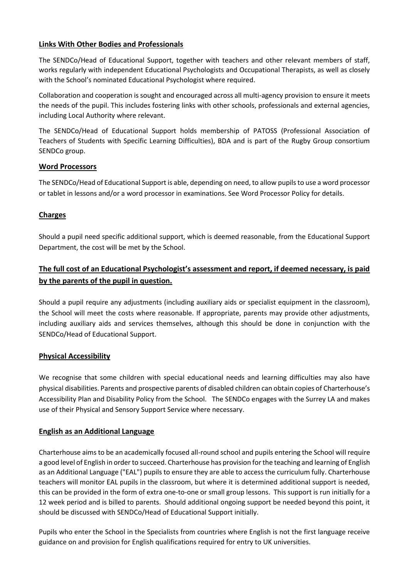#### **Links With Other Bodies and Professionals**

The SENDCo/Head of Educational Support, together with teachers and other relevant members of staff, works regularly with independent Educational Psychologists and Occupational Therapists, as well as closely with the School's nominated Educational Psychologist where required.

Collaboration and cooperation is sought and encouraged across all multi-agency provision to ensure it meets the needs of the pupil. This includes fostering links with other schools, professionals and external agencies, including Local Authority where relevant.

The SENDCo/Head of Educational Support holds membership of PATOSS (Professional Association of Teachers of Students with Specific Learning Difficulties), BDA and is part of the Rugby Group consortium SENDCo group.

#### **Word Processors**

The SENDCo/Head of Educational Support is able, depending on need, to allow pupils to use a word processor or tablet in lessons and/or a word processor in examinations. See Word Processor Policy for details.

#### **Charges**

Should a pupil need specific additional support, which is deemed reasonable, from the Educational Support Department, the cost will be met by the School.

## **The full cost of an Educational Psychologist's assessment and report, if deemed necessary, is paid by the parents of the pupil in question.**

Should a pupil require any adjustments (including auxiliary aids or specialist equipment in the classroom), the School will meet the costs where reasonable. If appropriate, parents may provide other adjustments, including auxiliary aids and services themselves, although this should be done in conjunction with the SENDCo/Head of Educational Support.

#### **Physical Accessibility**

We recognise that some children with special educational needs and learning difficulties may also have physical disabilities. Parents and prospective parents of disabled children can obtain copies of Charterhouse's Accessibility Plan and Disability Policy from the School. The SENDCo engages with the Surrey LA and makes use of their Physical and Sensory Support Service where necessary.

#### **English as an Additional Language**

Charterhouse aims to be an academically focused all-round school and pupils entering the School will require a good level of English in order to succeed. Charterhouse has provision for the teaching and learning of English as an Additional Language ("EAL") pupils to ensure they are able to access the curriculum fully. Charterhouse teachers will monitor EAL pupils in the classroom, but where it is determined additional support is needed, this can be provided in the form of extra one-to-one or small group lessons. This support is run initially for a 12 week period and is billed to parents. Should additional ongoing support be needed beyond this point, it should be discussed with SENDCo/Head of Educational Support initially.

Pupils who enter the School in the Specialists from countries where English is not the first language receive guidance on and provision for English qualifications required for entry to UK universities.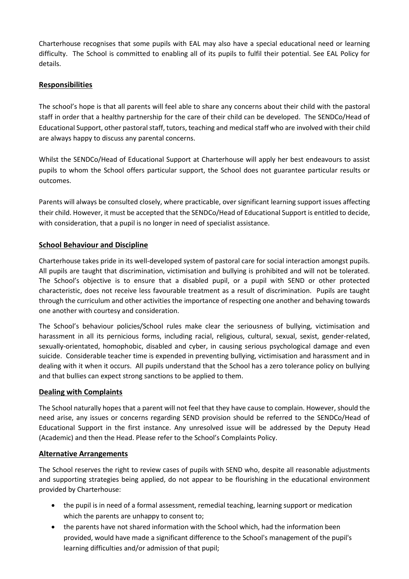Charterhouse recognises that some pupils with EAL may also have a special educational need or learning difficulty. The School is committed to enabling all of its pupils to fulfil their potential. See EAL Policy for details.

### **Responsibilities**

The school's hope is that all parents will feel able to share any concerns about their child with the pastoral staff in order that a healthy partnership for the care of their child can be developed. The SENDCo/Head of Educational Support, other pastoral staff, tutors, teaching and medical staff who are involved with their child are always happy to discuss any parental concerns.

Whilst the SENDCo/Head of Educational Support at Charterhouse will apply her best endeavours to assist pupils to whom the School offers particular support, the School does not guarantee particular results or outcomes.

Parents will always be consulted closely, where practicable, over significant learning support issues affecting their child. However, it must be accepted that the SENDCo/Head of Educational Support is entitled to decide, with consideration, that a pupil is no longer in need of specialist assistance.

#### **School Behaviour and Discipline**

Charterhouse takes pride in its well-developed system of pastoral care for social interaction amongst pupils. All pupils are taught that discrimination, victimisation and bullying is prohibited and will not be tolerated. The School's objective is to ensure that a disabled pupil, or a pupil with SEND or other protected characteristic, does not receive less favourable treatment as a result of discrimination. Pupils are taught through the curriculum and other activities the importance of respecting one another and behaving towards one another with courtesy and consideration.

The School's behaviour policies/School rules make clear the seriousness of bullying, victimisation and harassment in all its pernicious forms, including racial, religious, cultural, sexual, sexist, gender-related, sexually-orientated, homophobic, disabled and cyber, in causing serious psychological damage and even suicide. Considerable teacher time is expended in preventing bullying, victimisation and harassment and in dealing with it when it occurs. All pupils understand that the School has a zero tolerance policy on bullying and that bullies can expect strong sanctions to be applied to them.

#### **Dealing with Complaints**

The School naturally hopes that a parent will not feel that they have cause to complain. However, should the need arise, any issues or concerns regarding SEND provision should be referred to the SENDCo/Head of Educational Support in the first instance. Any unresolved issue will be addressed by the Deputy Head (Academic) and then the Head. Please refer to the School's Complaints Policy.

#### **Alternative Arrangements**

The School reserves the right to review cases of pupils with SEND who, despite all reasonable adjustments and supporting strategies being applied, do not appear to be flourishing in the educational environment provided by Charterhouse:

- the pupil is in need of a formal assessment, remedial teaching, learning support or medication which the parents are unhappy to consent to;
- the parents have not shared information with the School which, had the information been provided, would have made a significant difference to the School's management of the pupil's learning difficulties and/or admission of that pupil;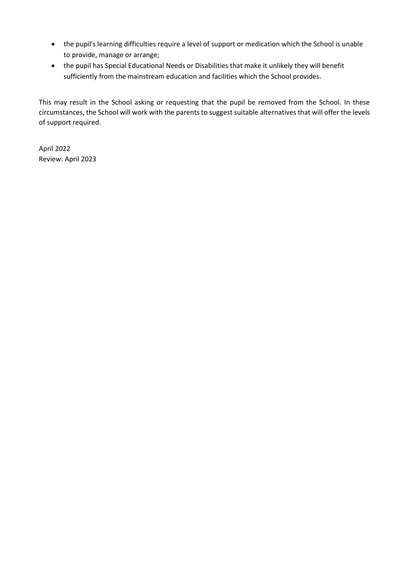- the pupil's learning difficulties require a level of support or medication which the School is unable to provide, manage or arrange;
- the pupil has Special Educational Needs or Disabilities that make it unlikely they will benefit sufficiently from the mainstream education and facilities which the School provides.

This may result in the School asking or requesting that the pupil be removed from the School. In these circumstances, the School will work with the parents to suggest suitable alternatives that will offer the levels of support required.

April 2022 Review: April 2023